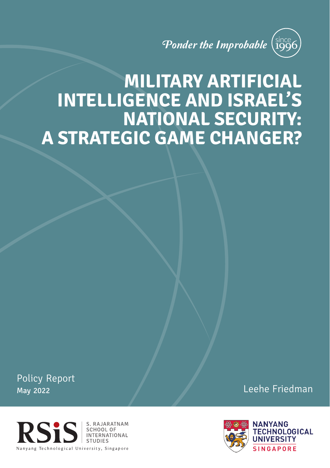# Ponder the Improbable (since

# **MILITARY ARTIFICIAL INTELLIGENCE AND ISRAEL'S NATIONAL SECURITY: A STRATEGIC GAME CHANGER?**

Policy Report May 2022



Leehe Friedman

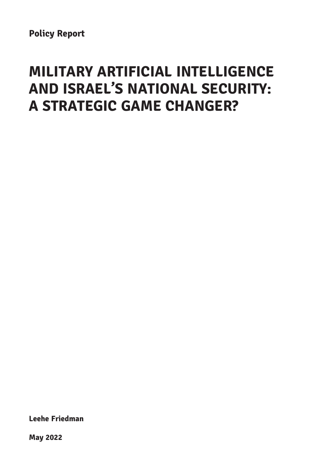# **MILITARY ARTIFICIAL INTELLIGENCE AND ISRAEL'S NATIONAL SECURITY: A STRATEGIC GAME CHANGER?**

**Leehe Friedman**

**May 2022**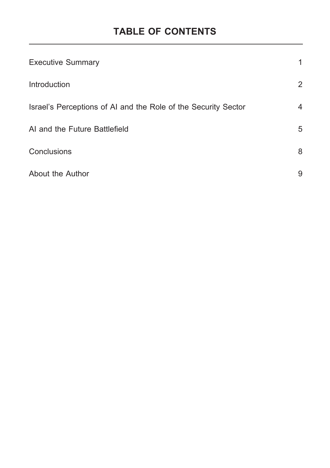# **TABLE OF CONTENTS**

| <b>Executive Summary</b>                                       | 1              |
|----------------------------------------------------------------|----------------|
| Introduction                                                   | $\overline{2}$ |
| Israel's Perceptions of AI and the Role of the Security Sector | 4              |
| AI and the Future Battlefield                                  | 5              |
| Conclusions                                                    | 8              |
| About the Author                                               | 9              |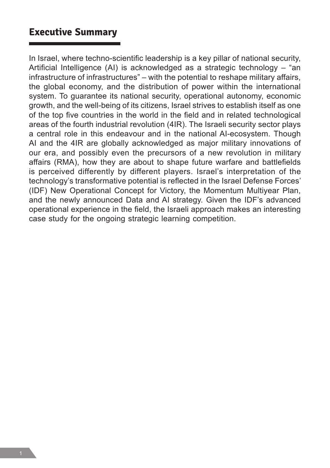#### **Executive Summary**

In Israel, where techno-scientific leadership is a key pillar of national security, Artificial Intelligence (AI) is acknowledged as a strategic technology – "an infrastructure of infrastructures" – with the potential to reshape military affairs, the global economy, and the distribution of power within the international system. To guarantee its national security, operational autonomy, economic growth, and the well-being of its citizens, Israel strives to establish itself as one of the top five countries in the world in the field and in related technological areas of the fourth industrial revolution (4IR). The Israeli security sector plays a central role in this endeavour and in the national AI-ecosystem. Though AI and the 4IR are globally acknowledged as major military innovations of our era, and possibly even the precursors of a new revolution in military affairs (RMA), how they are about to shape future warfare and battlefields is perceived differently by different players. Israel's interpretation of the technology's transformative potential is reflected in the Israel Defense Forces' (IDF) New Operational Concept for Victory, the Momentum Multiyear Plan, and the newly announced Data and AI strategy. Given the IDF's advanced operational experience in the field, the Israeli approach makes an interesting case study for the ongoing strategic learning competition.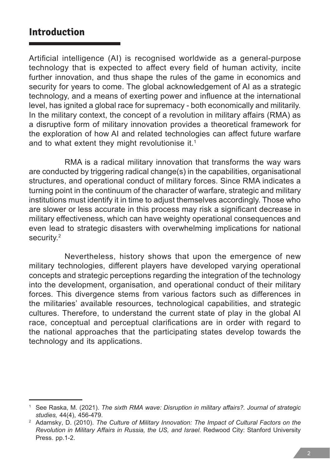#### **Introduction**

Artificial intelligence (AI) is recognised worldwide as a general-purpose technology that is expected to affect every field of human activity, incite further innovation, and thus shape the rules of the game in economics and security for years to come. The global acknowledgement of AI as a strategic technology, and a means of exerting power and influence at the international level, has ignited a global race for supremacy - both economically and militarily. In the military context, the concept of a revolution in military affairs (RMA) as a disruptive form of military innovation provides a theoretical framework for the exploration of how AI and related technologies can affect future warfare and to what extent they might revolutionise it.<sup>1</sup>

RMA is a radical military innovation that transforms the way wars are conducted by triggering radical change(s) in the capabilities, organisational structures, and operational conduct of military forces. Since RMA indicates a turning point in the continuum of the character of warfare, strategic and military institutions must identify it in time to adjust themselves accordingly. Those who are slower or less accurate in this process may risk a significant decrease in military effectiveness, which can have weighty operational consequences and even lead to strategic disasters with overwhelming implications for national security.2

Nevertheless, history shows that upon the emergence of new military technologies, different players have developed varying operational concepts and strategic perceptions regarding the integration of the technology into the development, organisation, and operational conduct of their military forces. This divergence stems from various factors such as differences in the militaries' available resources, technological capabilities, and strategic cultures. Therefore, to understand the current state of play in the global AI race, conceptual and perceptual clarifications are in order with regard to the national approaches that the participating states develop towards the technology and its applications.

<sup>1</sup> See Raska, M. (2021). *The sixth RMA wave: Disruption in military affairs?. Journal of strategic studies,* 44(4), 456-479.

<sup>2</sup> Adamsky, D. (2010). *The Culture of Military Innovation: The Impact of Cultural Factors on the Revolution in Military Affairs in Russia, the US, and Israel.* Redwood City: Stanford University Press. pp.1-2.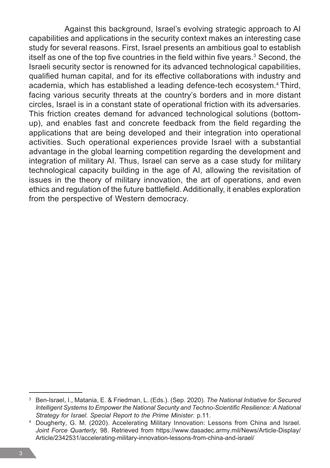Against this background, Israel's evolving strategic approach to AI capabilities and applications in the security context makes an interesting case study for several reasons. First, Israel presents an ambitious goal to establish itself as one of the top five countries in the field within five years.<sup>3</sup> Second, the Israeli security sector is renowned for its advanced technological capabilities, qualified human capital, and for its effective collaborations with industry and academia, which has established a leading defence-tech ecosystem.4 Third, facing various security threats at the country's borders and in more distant circles, Israel is in a constant state of operational friction with its adversaries. This friction creates demand for advanced technological solutions (bottomup), and enables fast and concrete feedback from the field regarding the applications that are being developed and their integration into operational activities. Such operational experiences provide Israel with a substantial advantage in the global learning competition regarding the development and integration of military AI. Thus, Israel can serve as a case study for military technological capacity building in the age of AI, allowing the revisitation of issues in the theory of military innovation, the art of operations, and even ethics and regulation of the future battlefield. Additionally, it enables exploration from the perspective of Western democracy.

<sup>3</sup> Ben-Israel, I., Matania, E. & Friedman, L. (Eds.). (Sep. 2020). *The National Initiative for Secured Intelligent Systems to Empower the National Security and Techno-Scientific Resilience: A National Strategy for Israel. Special Report to the Prime Minister.* p.11.

<sup>4</sup> Dougherty, G. M. (2020). Accelerating Military Innovation: Lessons from China and Israel. *Joint Force Quarterly,* 98. Retrieved from https://www.dasadec.army.mil/News/Article-Display/ Article/2342531/accelerating-military-innovation-lessons-from-china-and-israel/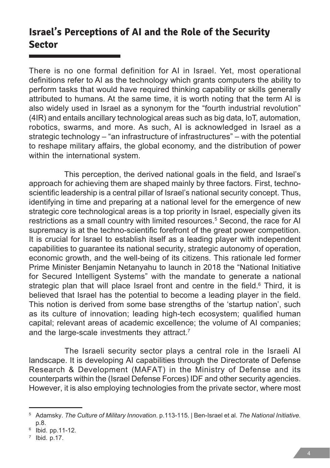## **Israel's Perceptions of AI and the Role of the Security Sector**

There is no one formal definition for AI in Israel. Yet, most operational definitions refer to AI as the technology which grants computers the ability to perform tasks that would have required thinking capability or skills generally attributed to humans. At the same time, it is worth noting that the term AI is also widely used in Israel as a synonym for the "fourth industrial revolution" (4IR) and entails ancillary technological areas such as big data, IoT, automation, robotics, swarms, and more. As such, AI is acknowledged in Israel as a strategic technology – "an infrastructure of infrastructures" – with the potential to reshape military affairs, the global economy, and the distribution of power within the international system.

This perception, the derived national goals in the field, and Israel's approach for achieving them are shaped mainly by three factors. First, technoscientific leadership is a central pillar of Israel's national security concept. Thus, identifying in time and preparing at a national level for the emergence of new strategic core technological areas is a top priority in Israel, especially given its restrictions as a small country with limited resources.<sup>5</sup> Second, the race for AI supremacy is at the techno-scientific forefront of the great power competition. It is crucial for Israel to establish itself as a leading player with independent capabilities to guarantee its national security, strategic autonomy of operation, economic growth, and the well-being of its citizens. This rationale led former Prime Minister Benjamin Netanyahu to launch in 2018 the "National Initiative for Secured Intelligent Systems" with the mandate to generate a national strategic plan that will place Israel front and centre in the field.<sup>6</sup> Third, it is believed that Israel has the potential to become a leading player in the field. This notion is derived from some base strengths of the 'startup nation', such as its culture of innovation; leading high-tech ecosystem; qualified human capital; relevant areas of academic excellence; the volume of AI companies; and the large-scale investments they attract.<sup>7</sup>

The Israeli security sector plays a central role in the Israeli AI landscape. It is developing AI capabilities through the Directorate of Defense Research & Development (MAFAT) in the Ministry of Defense and its counterparts within the (Israel Defense Forces) IDF and other security agencies. However, it is also employing technologies from the private sector, where most

<sup>5</sup> Adamsky. *The Culture of Military Innovation*. p.113-115. | Ben-Israel et al. *The National Initiative.*  p.8.

<sup>6</sup> Ibid. pp.11-12.

 $7$  Ibid. p.17.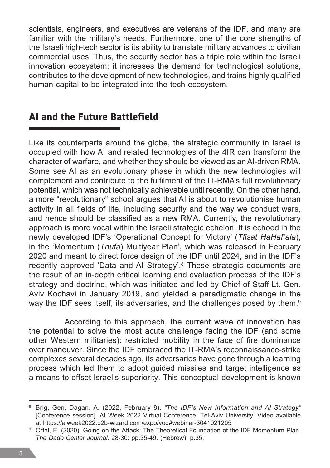scientists, engineers, and executives are veterans of the IDF, and many are familiar with the military's needs. Furthermore, one of the core strengths of the Israeli high-tech sector is its ability to translate military advances to civilian commercial uses. Thus, the security sector has a triple role within the Israeli innovation ecosystem: it increases the demand for technological solutions, contributes to the development of new technologies, and trains highly qualified human capital to be integrated into the tech ecosystem.

### **AI and the Future Battlefield**

Like its counterparts around the globe, the strategic community in Israel is occupied with how AI and related technologies of the 4IR can transform the character of warfare, and whether they should be viewed as an AI-driven RMA. Some see AI as an evolutionary phase in which the new technologies will complement and contribute to the fulfilment of the IT-RMA's full revolutionary potential, which was not technically achievable until recently. On the other hand, a more "revolutionary" school argues that AI is about to revolutionise human activity in all fields of life, including security and the way we conduct wars, and hence should be classified as a new RMA. Currently, the revolutionary approach is more vocal within the Israeli strategic echelon. It is echoed in the newly developed IDF's 'Operational Concept for Victory' (*Tfisat HaHaf'ala*), in the 'Momentum (*Tnufa*) Multiyear Plan', which was released in February 2020 and meant to direct force design of the IDF until 2024, and in the IDF's recently approved 'Data and AI Strategy'.<sup>8</sup> These strategic documents are the result of an in-depth critical learning and evaluation process of the IDF's strategy and doctrine, which was initiated and led by Chief of Staff Lt. Gen. Aviv Kochavi in January 2019, and yielded a paradigmatic change in the way the IDF sees itself, its adversaries, and the challenges posed by them.<sup>9</sup>

According to this approach, the current wave of innovation has the potential to solve the most acute challenge facing the IDF (and some other Western militaries): restricted mobility in the face of fire dominance over maneuver. Since the IDF embraced the IT-RMA's reconnaissance-strike complexes several decades ago, its adversaries have gone through a learning process which led them to adopt guided missiles and target intelligence as a means to offset Israel's superiority. This conceptual development is known

<sup>8</sup> Brig. Gen. Dagan. A. (2022, February 8). *"The IDF's New Information and AI Strategy"*  [Conference session]. AI Week 2022 Virtual Conference, Tel-Aviv University. Video available at https://aiweek2022.b2b-wizard.com/expo/vod#webinar-3041021205

<sup>&</sup>lt;sup>9</sup> Ortal. E. (2020). Going on the Attack: The Theoretical Foundation of the IDF Momentum Plan. *The Dado Center Journal.* 28-30: pp.35-49. (Hebrew). p.35.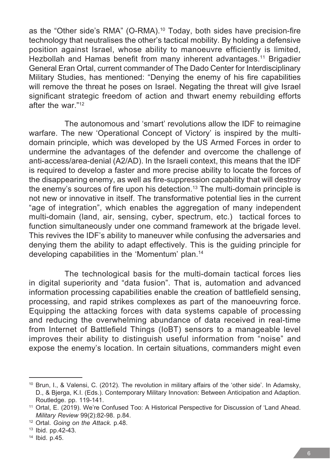as the "Other side's RMA" (O-RMA).10 Today, both sides have precision-fire technology that neutralises the other's tactical mobility. By holding a defensive position against Israel, whose ability to manoeuvre efficiently is limited, Hezbollah and Hamas benefit from many inherent advantages.<sup>11</sup> Brigadier General Eran Ortal, current commander of The Dado Center for Interdisciplinary Military Studies, has mentioned: "Denying the enemy of his fire capabilities will remove the threat he poses on Israel. Negating the threat will give Israel significant strategic freedom of action and thwart enemy rebuilding efforts after the war."12

The autonomous and 'smart' revolutions allow the IDF to reimagine warfare. The new 'Operational Concept of Victory' is inspired by the multidomain principle, which was developed by the US Armed Forces in order to undermine the advantages of the defender and overcome the challenge of anti-access/area-denial (A2/AD). In the Israeli context, this means that the IDF is required to develop a faster and more precise ability to locate the forces of the disappearing enemy, as well as fire-suppression capability that will destroy the enemy's sources of fire upon his detection.13 The multi-domain principle is not new or innovative in itself. The transformative potential lies in the current "age of integration", which enables the aggregation of many independent multi-domain (land, air, sensing, cyber, spectrum, etc.) tactical forces to function simultaneously under one command framework at the brigade level. This revives the IDF's ability to maneuver while confusing the adversaries and denying them the ability to adapt effectively. This is the guiding principle for developing capabilities in the 'Momentum' plan.<sup>14</sup>

The technological basis for the multi-domain tactical forces lies in digital superiority and "data fusion". That is, automation and advanced information processing capabilities enable the creation of battlefield sensing, processing, and rapid strikes complexes as part of the manoeuvring force. Equipping the attacking forces with data systems capable of processing and reducing the overwhelming abundance of data received in real-time from Internet of Battlefield Things (IoBT) sensors to a manageable level improves their ability to distinguish useful information from "noise" and expose the enemy's location. In certain situations, commanders might even

<sup>10</sup> Brun, I., & Valensi, C. (2012). The revolution in military affairs of the 'other side'. In Adamsky, D., & Bjerga, K.I. (Eds.). Contemporary Military Innovation: Between Anticipation and Adaption. Routledge. pp. 119-141.

<sup>11</sup> Ortal, E. (2019). We're Confused Too: A Historical Perspective for Discussion of 'Land Ahead. *Military Review* 99(2):82-98. p.84.

<sup>12</sup> Ortal. *Going on the Attack.* p.48. 13 Ibid. pp.42-43.

<sup>14</sup> Ibid. p.45.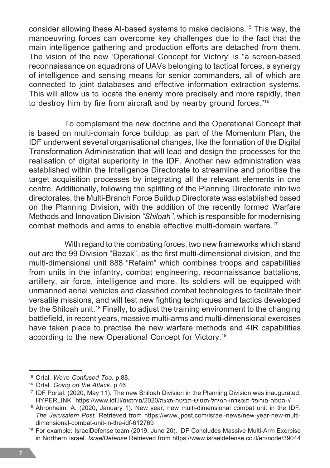consider allowing these AI-based systems to make decisions.15 This way, the manoeuvring forces can overcome key challenges due to the fact that the main intelligence gathering and production efforts are detached from them. The vision of the new 'Operational Concept for Victory' is "a screen-based reconnaissance on squadrons of UAVs belonging to tactical forces, a synergy of intelligence and sensing means for senior commanders, all of which are connected to joint databases and effective information extraction systems. This will allow us to locate the enemy more precisely and more rapidly, then to destroy him by fire from aircraft and by nearby ground forces."<sup>16</sup>

To complement the new doctrine and the Operational Concept that is based on multi-domain force buildup, as part of the Momentum Plan, the IDF underwent several organisational changes, like the formation of the Digital Transformation Administration that will lead and design the processes for the realisation of digital superiority in the IDF. Another new administration was established within the Intelligence Directorate to streamline and prioritise the target acquisition processes by integrating all the relevant elements in one centre. Additionally, following the splitting of the Planning Directorate into two directorates, the Multi-Branch Force Buildup Directorate was established based on the Planning Division, with the addition of the recently formed Warfare Methods and Innovation Division *"Shiloah"*, which is responsible for modernising combat methods and arms to enable effective multi-domain warfare.<sup>17</sup>

With regard to the combating forces, two new frameworks which stand out are the 99 Division "Bazak", as the first multi-dimensional division, and the multi-dimensional unit 888 "Refaim" which combines troops and capabilities from units in the infantry, combat engineering, reconnaissance battalions, artillery, air force, intelligence and more. Its soldiers will be equipped with unmanned aerial vehicles and classified combat technologies to facilitate their versatile missions, and will test new fighting techniques and tactics developed by the Shiloah unit.18 Finally, to adjust the training environment to the changing battlefield, in recent years, massive multi-arms and multi-dimensional exercises have taken place to practise the new warfare methods and 4IR capabilities according to the new Operational Concept for Victory.19

<sup>15</sup> Ortal. *We're Confused Too.* p.88.

<sup>16</sup> Ortal. *Going on the Attack.* p.46.

<sup>&</sup>lt;sup>17</sup> IDF Portal. (2020, May 11). The new Shiloah Division in the Planning Division was inaugurated. HYPERLINK "https://www.idf.il/םירמאמ/2020/תגצה-תביטח-תוטיש-המיחל-תונשדחו-םורופל-הטמה-י/

<sup>18</sup> Ahronheim, A. (2020, January 1). New year, new multi-dimensional combat unit in the IDF. *The Jerusalem Post.* Retrieved from https://www.jpost.com/israel-news/new-year-new-multidimensional-combat-unit-in-the-idf-612769

<sup>19</sup> For example: IsraelDefense team (2019, June 20). IDF Concludes Massive Multi-Arm Exercise in Northern Israel. *IsraelDefense* Retrieved from https://www.israeldefense.co.il/en/node/39044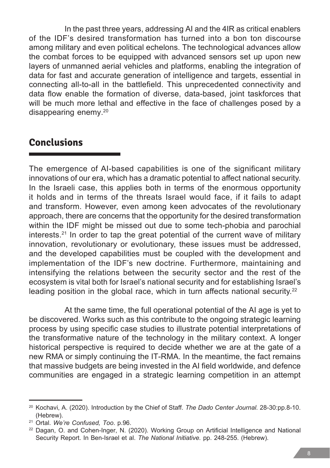In the past three years, addressing AI and the 4IR as critical enablers of the IDF's desired transformation has turned into a bon ton discourse among military and even political echelons. The technological advances allow the combat forces to be equipped with advanced sensors set up upon new layers of unmanned aerial vehicles and platforms, enabling the integration of data for fast and accurate generation of intelligence and targets, essential in connecting all-to-all in the battlefield. This unprecedented connectivity and data flow enable the formation of diverse, data-based, joint taskforces that will be much more lethal and effective in the face of challenges posed by a disappearing enemy.20

### **Conclusions**

The emergence of AI-based capabilities is one of the significant military innovations of our era, which has a dramatic potential to affect national security. In the Israeli case, this applies both in terms of the enormous opportunity it holds and in terms of the threats Israel would face, if it fails to adapt and transform. However, even among keen advocates of the revolutionary approach, there are concerns that the opportunity for the desired transformation within the IDF might be missed out due to some tech-phobia and parochial interests.<sup>21</sup> In order to tap the great potential of the current wave of military innovation, revolutionary or evolutionary, these issues must be addressed, and the developed capabilities must be coupled with the development and implementation of the IDF's new doctrine. Furthermore, maintaining and intensifying the relations between the security sector and the rest of the ecosystem is vital both for Israel's national security and for establishing Israel's leading position in the global race, which in turn affects national security.<sup>22</sup>

At the same time, the full operational potential of the AI age is yet to be discovered. Works such as this contribute to the ongoing strategic learning process by using specific case studies to illustrate potential interpretations of the transformative nature of the technology in the military context. A longer historical perspective is required to decide whether we are at the gate of a new RMA or simply continuing the IT-RMA. In the meantime, the fact remains that massive budgets are being invested in the AI field worldwide, and defence communities are engaged in a strategic learning competition in an attempt

<sup>20</sup> Kochavi, A. (2020). Introduction by the Chief of Staff. *The Dado Center Journal.* 28-30:pp.8-10. (Hebrew).

<sup>21</sup> Ortal. *We're Confused, Too*. p.96.

<sup>22</sup> Dagan, O. and Cohen-Inger, N. (2020). Working Group on Artificial Intelligence and National Security Report. In Ben-Israel et al. *The National Initiative.* pp. 248-255. (Hebrew).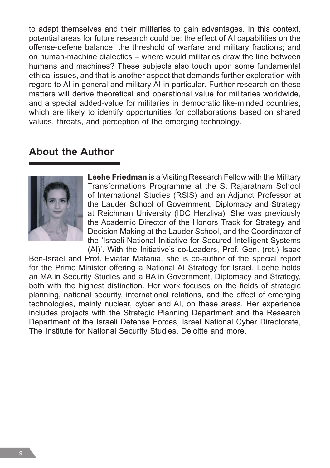to adapt themselves and their militaries to gain advantages. In this context, potential areas for future research could be: the effect of AI capabilities on the offense-defene balance; the threshold of warfare and military fractions; and on human-machine dialectics – where would militaries draw the line between humans and machines? These subjects also touch upon some fundamental ethical issues, and that is another aspect that demands further exploration with regard to AI in general and military AI in particular. Further research on these matters will derive theoretical and operational value for militaries worldwide, and a special added-value for militaries in democratic like-minded countries, which are likely to identify opportunities for collaborations based on shared values, threats, and perception of the emerging technology.

### **About the Author**



**Leehe Friedman** is a Visiting Research Fellow with the Military Transformations Programme at the S. Rajaratnam School of International Studies (RSIS) and an Adjunct Professor at the Lauder School of Government, Diplomacy and Strategy at Reichman University (IDC Herzliya). She was previously the Academic Director of the Honors Track for Strategy and Decision Making at the Lauder School, and the Coordinator of the 'Israeli National Initiative for Secured Intelligent Systems (AI)'. With the Initiative's co-Leaders, Prof. Gen. (ret.) Isaac

Ben-Israel and Prof. Eviatar Matania, she is co-author of the special report for the Prime Minister offering a National AI Strategy for Israel. Leehe holds an MA in Security Studies and a BA in Government, Diplomacy and Strategy, both with the highest distinction. Her work focuses on the fields of strategic planning, national security, international relations, and the effect of emerging technologies, mainly nuclear, cyber and AI, on these areas. Her experience includes projects with the Strategic Planning Department and the Research Department of the Israeli Defense Forces, Israel National Cyber Directorate, The Institute for National Security Studies, Deloitte and more.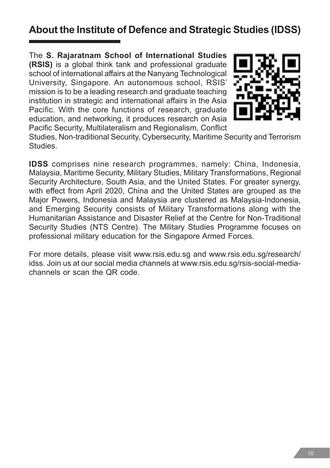# **About the Institute of Defence and Strategic Studies (IDSS)**

The **S. Rajaratnam School of International Studies (RSIS)** is a global think tank and professional graduate school of international affairs at the Nanyang Technological University, Singapore. An autonomous school, RSIS' mission is to be a leading research and graduate teaching institution in strategic and international affairs in the Asia Pacific. With the core functions of research, graduate education, and networking, it produces research on Asia Pacific Security, Multilateralism and Regionalism, Conflict



Studies, Non-traditional Security, Cybersecurity, Maritime Security and Terrorism Studies.

**IDSS** comprises nine research programmes, namely: China, Indonesia, Malaysia, Maritime Security, Military Studies, Military Transformations, Regional Security Architecture, South Asia, and the United States. For greater synergy, with effect from April 2020, China and the United States are grouped as the Major Powers, Indonesia and Malaysia are clustered as Malaysia-Indonesia, and Emerging Security consists of Military Transformations along with the Humanitarian Assistance and Disaster Relief at the Centre for Non-Traditional Security Studies (NTS Centre). The Military Studies Programme focuses on professional military education for the Singapore Armed Forces.

For more details, please visit www.rsis.edu.sg and www.rsis.edu.sg/research/ idss. Join us at our social media channels at www.rsis.edu.sg/rsis-social-mediachannels or scan the QR code.